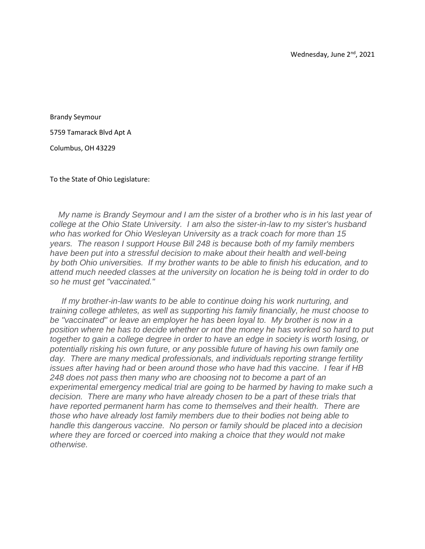Brandy Seymour

5759 Tamarack Blvd Apt A

Columbus, OH 43229

To the State of Ohio Legislature:

 *My name is Brandy Seymour and I am the sister of a brother who is in his last year of college at the Ohio State University. I am also the sister-in-law to my sister's husband who has worked for Ohio Wesleyan University as a track coach for more than 15 years. The reason I support House Bill 248 is because both of my family members have been put into a stressful decision to make about their health and well-being by both Ohio universities. If my brother wants to be able to finish his education, and to attend much needed classes at the university on location he is being told in order to do so he must get "vaccinated."* 

*If my brother-in-law wants to be able to continue doing his work nurturing, and training college athletes, as well as supporting his family financially, he must choose to be "vaccinated" or leave an employer he has been loyal to. My brother is now in a position where he has to decide whether or not the money he has worked so hard to put together to gain a college degree in order to have an edge in society is worth losing, or potentially risking his own future, or any possible future of having his own family one day. There are many medical professionals, and individuals reporting strange fertility issues after having had or been around those who have had this vaccine. I fear if HB 248 does not pass then many who are choosing not to become a part of an experimental emergency medical trial are going to be harmed by having to make such a decision. There are many who have already chosen to be a part of these trials that have reported permanent harm has come to themselves and their health. There are those who have already lost family members due to their bodies not being able to handle this dangerous vaccine. No person or family should be placed into a decision where they are forced or coerced into making a choice that they would not make otherwise.*